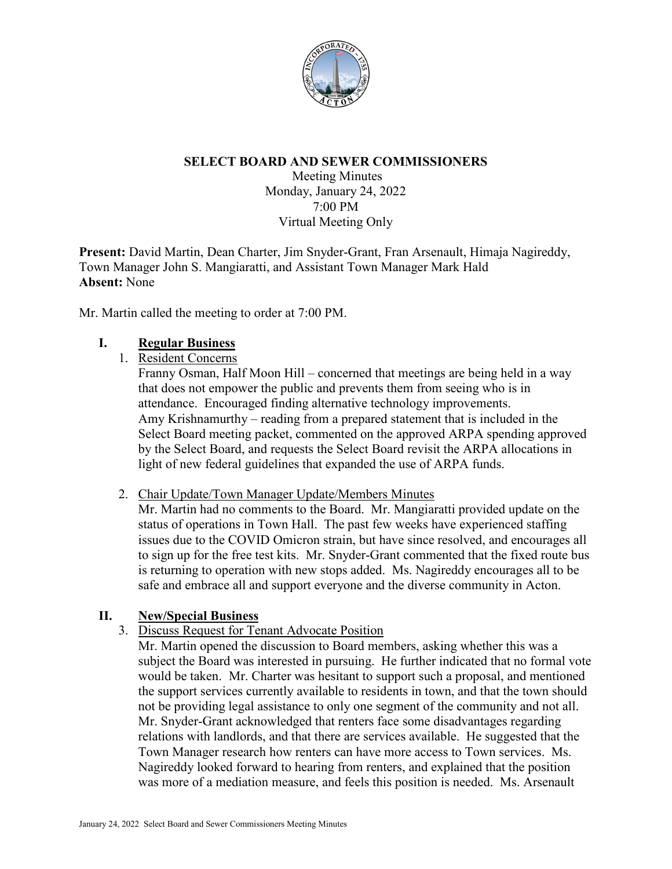

### **SELECT BOARD AND SEWER COMMISSIONERS**

Meeting Minutes Monday, January 24, 2022 7:00 PM Virtual Meeting Only

**Present:** David Martin, Dean Charter, Jim Snyder-Grant, Fran Arsenault, Himaja Nagireddy, Town Manager John S. Mangiaratti, and Assistant Town Manager Mark Hald **Absent:** None

Mr. Martin called the meeting to order at 7:00 PM.

### **I. Regular Business**

1. Resident Concerns

Franny Osman, Half Moon Hill – concerned that meetings are being held in a way that does not empower the public and prevents them from seeing who is in attendance. Encouraged finding alternative technology improvements. Amy Krishnamurthy – reading from a prepared statement that is included in the Select Board meeting packet, commented on the approved ARPA spending approved by the Select Board, and requests the Select Board revisit the ARPA allocations in light of new federal guidelines that expanded the use of ARPA funds.

### 2. Chair Update/Town Manager Update/Members Minutes

Mr. Martin had no comments to the Board. Mr. Mangiaratti provided update on the status of operations in Town Hall. The past few weeks have experienced staffing issues due to the COVID Omicron strain, but have since resolved, and encourages all to sign up for the free test kits. Mr. Snyder-Grant commented that the fixed route bus is returning to operation with new stops added. Ms. Nagireddy encourages all to be safe and embrace all and support everyone and the diverse community in Acton.

# **II. New/Special Business**

3. Discuss Request for Tenant Advocate Position

Mr. Martin opened the discussion to Board members, asking whether this was a subject the Board was interested in pursuing. He further indicated that no formal vote would be taken. Mr. Charter was hesitant to support such a proposal, and mentioned the support services currently available to residents in town, and that the town should not be providing legal assistance to only one segment of the community and not all. Mr. Snyder-Grant acknowledged that renters face some disadvantages regarding relations with landlords, and that there are services available. He suggested that the Town Manager research how renters can have more access to Town services. Ms. Nagireddy looked forward to hearing from renters, and explained that the position was more of a mediation measure, and feels this position is needed. Ms. Arsenault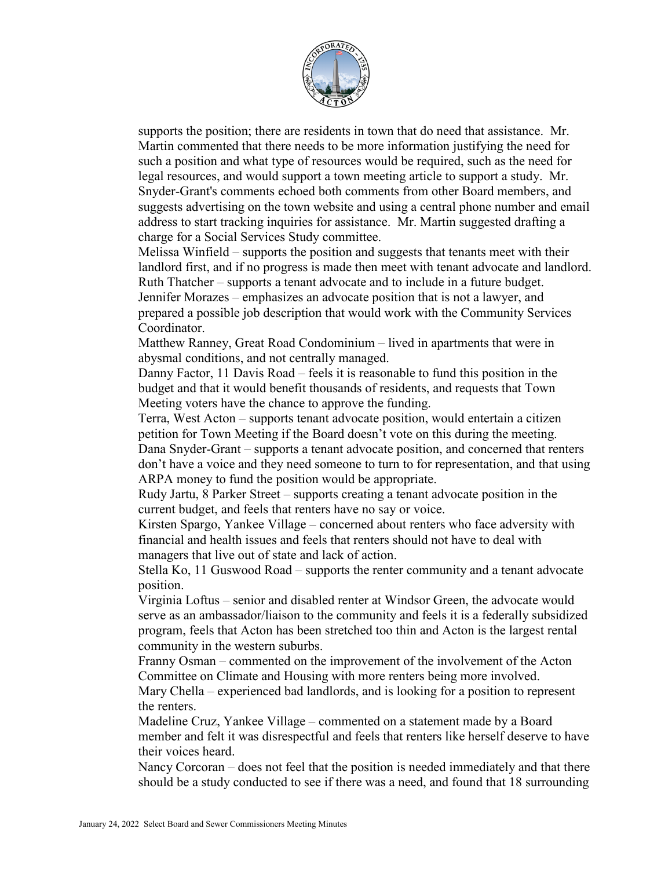

supports the position; there are residents in town that do need that assistance. Mr. Martin commented that there needs to be more information justifying the need for such a position and what type of resources would be required, such as the need for legal resources, and would support a town meeting article to support a study. Mr. Snyder-Grant's comments echoed both comments from other Board members, and suggests advertising on the town website and using a central phone number and email address to start tracking inquiries for assistance. Mr. Martin suggested drafting a charge for a Social Services Study committee.

Melissa Winfield – supports the position and suggests that tenants meet with their landlord first, and if no progress is made then meet with tenant advocate and landlord. Ruth Thatcher – supports a tenant advocate and to include in a future budget. Jennifer Morazes – emphasizes an advocate position that is not a lawyer, and

prepared a possible job description that would work with the Community Services Coordinator.

Matthew Ranney, Great Road Condominium – lived in apartments that were in abysmal conditions, and not centrally managed.

Danny Factor, 11 Davis Road – feels it is reasonable to fund this position in the budget and that it would benefit thousands of residents, and requests that Town Meeting voters have the chance to approve the funding.

Terra, West Acton – supports tenant advocate position, would entertain a citizen petition for Town Meeting if the Board doesn't vote on this during the meeting. Dana Snyder-Grant – supports a tenant advocate position, and concerned that renters don't have a voice and they need someone to turn to for representation, and that using ARPA money to fund the position would be appropriate.

Rudy Jartu, 8 Parker Street – supports creating a tenant advocate position in the current budget, and feels that renters have no say or voice.

Kirsten Spargo, Yankee Village – concerned about renters who face adversity with financial and health issues and feels that renters should not have to deal with managers that live out of state and lack of action.

Stella Ko, 11 Guswood Road – supports the renter community and a tenant advocate position.

Virginia Loftus – senior and disabled renter at Windsor Green, the advocate would serve as an ambassador/liaison to the community and feels it is a federally subsidized program, feels that Acton has been stretched too thin and Acton is the largest rental community in the western suburbs.

Franny Osman – commented on the improvement of the involvement of the Acton Committee on Climate and Housing with more renters being more involved. Mary Chella – experienced bad landlords, and is looking for a position to represent

the renters.

Madeline Cruz, Yankee Village – commented on a statement made by a Board member and felt it was disrespectful and feels that renters like herself deserve to have their voices heard.

Nancy Corcoran – does not feel that the position is needed immediately and that there should be a study conducted to see if there was a need, and found that 18 surrounding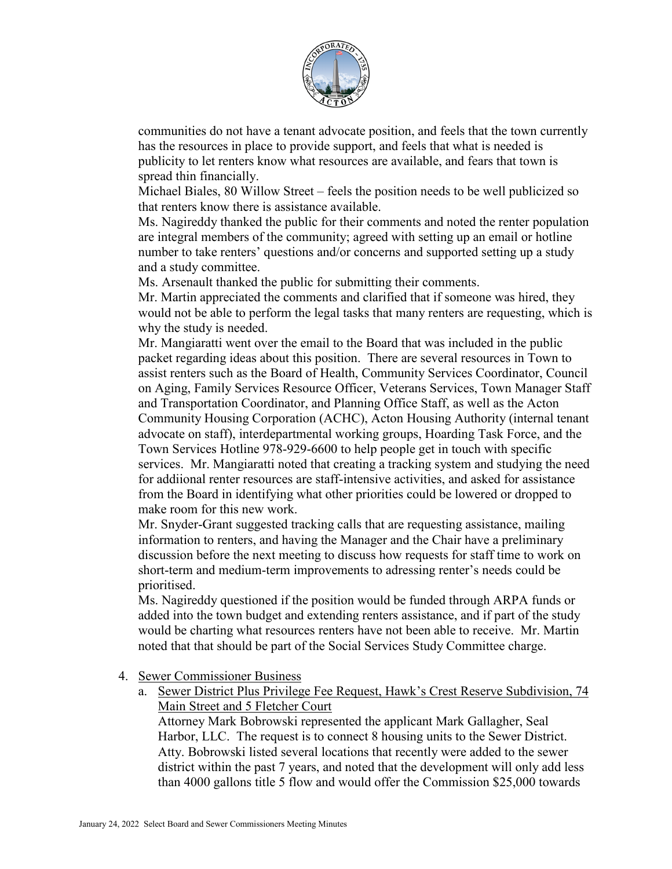

communities do not have a tenant advocate position, and feels that the town currently has the resources in place to provide support, and feels that what is needed is publicity to let renters know what resources are available, and fears that town is spread thin financially.

Michael Biales, 80 Willow Street – feels the position needs to be well publicized so that renters know there is assistance available.

Ms. Nagireddy thanked the public for their comments and noted the renter population are integral members of the community; agreed with setting up an email or hotline number to take renters' questions and/or concerns and supported setting up a study and a study committee.

Ms. Arsenault thanked the public for submitting their comments.

Mr. Martin appreciated the comments and clarified that if someone was hired, they would not be able to perform the legal tasks that many renters are requesting, which is why the study is needed.

Mr. Mangiaratti went over the email to the Board that was included in the public packet regarding ideas about this position. There are several resources in Town to assist renters such as the Board of Health, Community Services Coordinator, Council on Aging, Family Services Resource Officer, Veterans Services, Town Manager Staff and Transportation Coordinator, and Planning Office Staff, as well as the Acton Community Housing Corporation (ACHC), Acton Housing Authority (internal tenant advocate on staff), interdepartmental working groups, Hoarding Task Force, and the Town Services Hotline 978-929-6600 to help people get in touch with specific services. Mr. Mangiaratti noted that creating a tracking system and studying the need for addiional renter resources are staff-intensive activities, and asked for assistance from the Board in identifying what other priorities could be lowered or dropped to make room for this new work.

Mr. Snyder-Grant suggested tracking calls that are requesting assistance, mailing information to renters, and having the Manager and the Chair have a preliminary discussion before the next meeting to discuss how requests for staff time to work on short-term and medium-term improvements to adressing renter's needs could be prioritised.

Ms. Nagireddy questioned if the position would be funded through ARPA funds or added into the town budget and extending renters assistance, and if part of the study would be charting what resources renters have not been able to receive. Mr. Martin noted that that should be part of the Social Services Study Committee charge.

4. Sewer Commissioner Business

a. Sewer District Plus Privilege Fee Request, Hawk's Crest Reserve Subdivision, 74 Main Street and 5 Fletcher Court

Attorney Mark Bobrowski represented the applicant Mark Gallagher, Seal Harbor, LLC. The request is to connect 8 housing units to the Sewer District. Atty. Bobrowski listed several locations that recently were added to the sewer district within the past 7 years, and noted that the development will only add less than 4000 gallons title 5 flow and would offer the Commission \$25,000 towards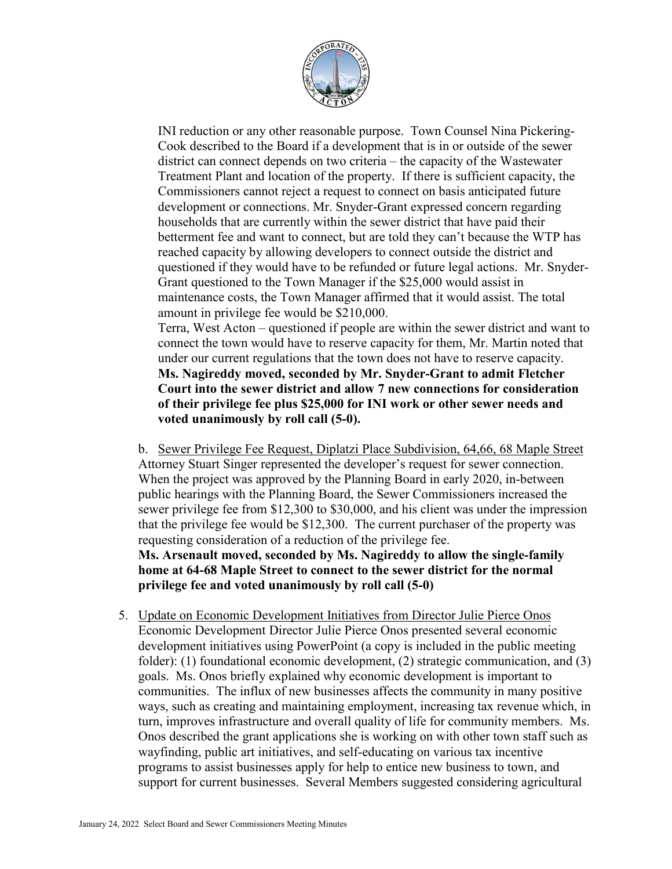

INI reduction or any other reasonable purpose. Town Counsel Nina Pickering-Cook described to the Board if a development that is in or outside of the sewer district can connect depends on two criteria – the capacity of the Wastewater Treatment Plant and location of the property. If there is sufficient capacity, the Commissioners cannot reject a request to connect on basis anticipated future development or connections. Mr. Snyder-Grant expressed concern regarding households that are currently within the sewer district that have paid their betterment fee and want to connect, but are told they can't because the WTP has reached capacity by allowing developers to connect outside the district and questioned if they would have to be refunded or future legal actions. Mr. Snyder-Grant questioned to the Town Manager if the \$25,000 would assist in maintenance costs, the Town Manager affirmed that it would assist. The total amount in privilege fee would be \$210,000.

Terra, West Acton – questioned if people are within the sewer district and want to connect the town would have to reserve capacity for them, Mr. Martin noted that under our current regulations that the town does not have to reserve capacity. **Ms. Nagireddy moved, seconded by Mr. Snyder-Grant to admit Fletcher Court into the sewer district and allow 7 new connections for consideration of their privilege fee plus \$25,000 for INI work or other sewer needs and voted unanimously by roll call (5-0).**

b. Sewer Privilege Fee Request, Diplatzi Place Subdivision, 64,66, 68 Maple Street Attorney Stuart Singer represented the developer's request for sewer connection. When the project was approved by the Planning Board in early 2020, in-between public hearings with the Planning Board, the Sewer Commissioners increased the sewer privilege fee from \$12,300 to \$30,000, and his client was under the impression that the privilege fee would be \$12,300. The current purchaser of the property was requesting consideration of a reduction of the privilege fee. **Ms. Arsenault moved, seconded by Ms. Nagireddy to allow the single-family home at 64-68 Maple Street to connect to the sewer district for the normal privilege fee and voted unanimously by roll call (5-0)**

5. Update on Economic Development Initiatives from Director Julie Pierce Onos Economic Development Director Julie Pierce Onos presented several economic development initiatives using PowerPoint (a copy is included in the public meeting folder): (1) foundational economic development, (2) strategic communication, and (3) goals. Ms. Onos briefly explained why economic development is important to communities. The influx of new businesses affects the community in many positive ways, such as creating and maintaining employment, increasing tax revenue which, in turn, improves infrastructure and overall quality of life for community members. Ms. Onos described the grant applications she is working on with other town staff such as wayfinding, public art initiatives, and self-educating on various tax incentive programs to assist businesses apply for help to entice new business to town, and support for current businesses. Several Members suggested considering agricultural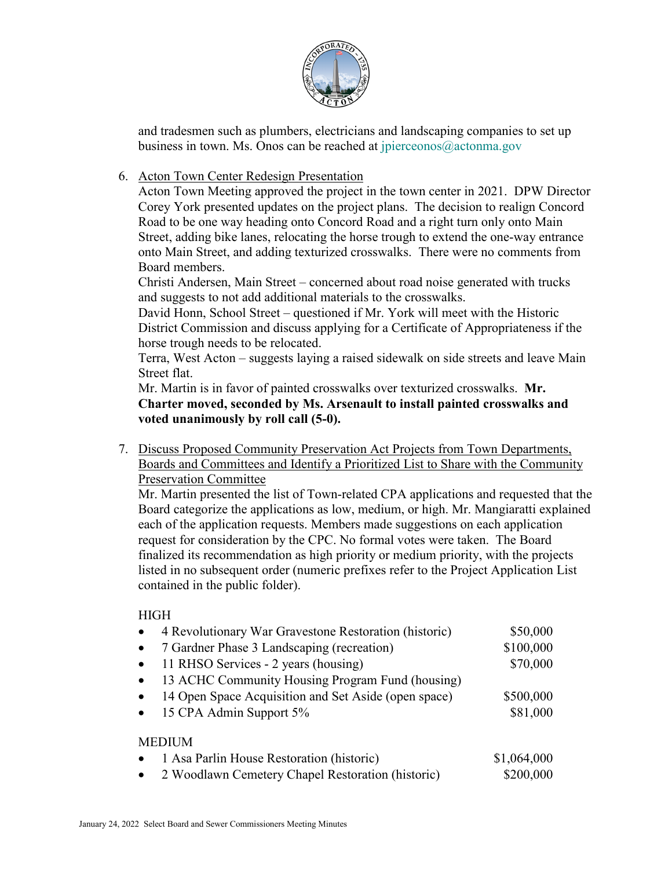

and tradesmen such as plumbers, electricians and landscaping companies to set up business in town. Ms. Onos can be reached at  $ipierceonos@actonna.gov$ 

### 6. Acton Town Center Redesign Presentation

Acton Town Meeting approved the project in the town center in 2021. DPW Director Corey York presented updates on the project plans. The decision to realign Concord Road to be one way heading onto Concord Road and a right turn only onto Main Street, adding bike lanes, relocating the horse trough to extend the one-way entrance onto Main Street, and adding texturized crosswalks. There were no comments from Board members.

Christi Andersen, Main Street – concerned about road noise generated with trucks and suggests to not add additional materials to the crosswalks.

David Honn, School Street – questioned if Mr. York will meet with the Historic District Commission and discuss applying for a Certificate of Appropriateness if the horse trough needs to be relocated.

Terra, West Acton – suggests laying a raised sidewalk on side streets and leave Main Street flat.

Mr. Martin is in favor of painted crosswalks over texturized crosswalks. **Mr. Charter moved, seconded by Ms. Arsenault to install painted crosswalks and voted unanimously by roll call (5-0).**

7. Discuss Proposed Community Preservation Act Projects from Town Departments, Boards and Committees and Identify a Prioritized List to Share with the Community Preservation Committee

Mr. Martin presented the list of Town-related CPA applications and requested that the Board categorize the applications as low, medium, or high. Mr. Mangiaratti explained each of the application requests. Members made suggestions on each application request for consideration by the CPC. No formal votes were taken. The Board finalized its recommendation as high priority or medium priority, with the projects listed in no subsequent order (numeric prefixes refer to the Project Application List contained in the public folder).

### **HIGH**

| 4 Revolutionary War Gravestone Restoration (historic)<br>$\bullet$ |                                                      | \$50,000    |
|--------------------------------------------------------------------|------------------------------------------------------|-------------|
| 7 Gardner Phase 3 Landscaping (recreation)<br>$\bullet$            |                                                      | \$100,000   |
| 11 RHSO Services - 2 years (housing)<br>$\bullet$                  |                                                      | \$70,000    |
| $\bullet$                                                          | 13 ACHC Community Housing Program Fund (housing)     |             |
| $\bullet$                                                          | 14 Open Space Acquisition and Set Aside (open space) | \$500,000   |
| 15 CPA Admin Support 5%<br>$\bullet$                               |                                                      | \$81,000    |
| <b>MEDIUM</b>                                                      |                                                      |             |
| $\bullet$                                                          | 1 Asa Parlin House Restoration (historic)            | \$1,064,000 |
| 2 Woodlawn Cemetery Chapel Restoration (historic)<br>$\bullet$     |                                                      | \$200,000   |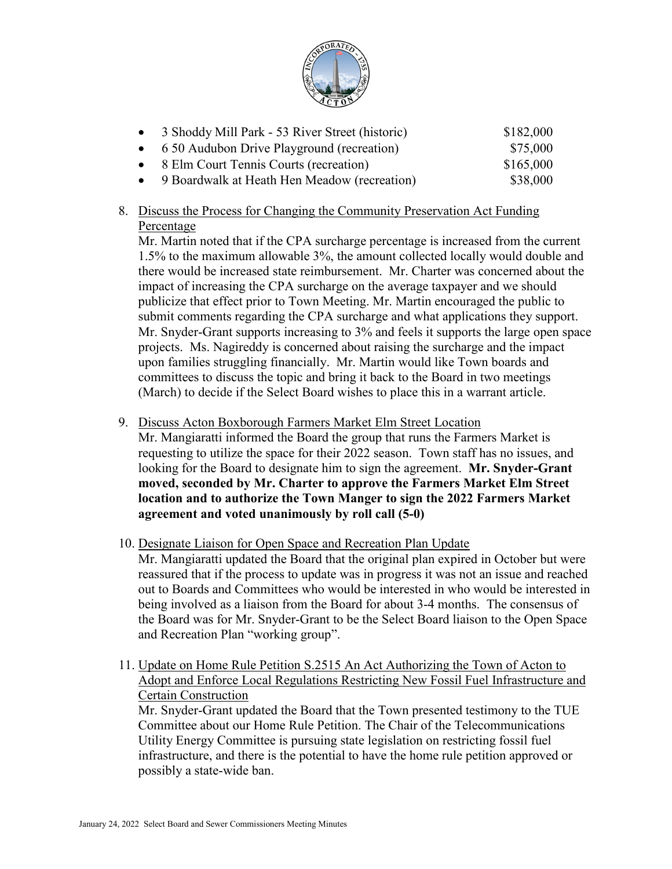

| • 3 Shoddy Mill Park - 53 River Street (historic) | \$182,000 |
|---------------------------------------------------|-----------|
| • 6 50 Audubon Drive Playground (recreation)      | \$75,000  |
| • 8 Elm Court Tennis Courts (recreation)          | \$165,000 |
| • 9 Boardwalk at Heath Hen Meadow (recreation)    | \$38,000  |

# 8. Discuss the Process for Changing the Community Preservation Act Funding Percentage

Mr. Martin noted that if the CPA surcharge percentage is increased from the current 1.5% to the maximum allowable 3%, the amount collected locally would double and there would be increased state reimbursement. Mr. Charter was concerned about the impact of increasing the CPA surcharge on the average taxpayer and we should publicize that effect prior to Town Meeting. Mr. Martin encouraged the public to submit comments regarding the CPA surcharge and what applications they support. Mr. Snyder-Grant supports increasing to 3% and feels it supports the large open space projects. Ms. Nagireddy is concerned about raising the surcharge and the impact upon families struggling financially. Mr. Martin would like Town boards and committees to discuss the topic and bring it back to the Board in two meetings (March) to decide if the Select Board wishes to place this in a warrant article.

# 9. Discuss Acton Boxborough Farmers Market Elm Street Location

Mr. Mangiaratti informed the Board the group that runs the Farmers Market is requesting to utilize the space for their 2022 season. Town staff has no issues, and looking for the Board to designate him to sign the agreement. **Mr. Snyder-Grant moved, seconded by Mr. Charter to approve the Farmers Market Elm Street location and to authorize the Town Manger to sign the 2022 Farmers Market agreement and voted unanimously by roll call (5-0)**

# 10. Designate Liaison for Open Space and Recreation Plan Update

Mr. Mangiaratti updated the Board that the original plan expired in October but were reassured that if the process to update was in progress it was not an issue and reached out to Boards and Committees who would be interested in who would be interested in being involved as a liaison from the Board for about 3-4 months. The consensus of the Board was for Mr. Snyder-Grant to be the Select Board liaison to the Open Space and Recreation Plan "working group".

11. Update on Home Rule Petition S.2515 An Act Authorizing the Town of Acton to Adopt and Enforce Local Regulations Restricting New Fossil Fuel Infrastructure and Certain Construction Mr. Snyder-Grant updated the Board that the Town presented testimony to the TUE Committee about our Home Rule Petition. The Chair of the Telecommunications

Utility Energy Committee is pursuing state legislation on restricting fossil fuel infrastructure, and there is the potential to have the home rule petition approved or possibly a state-wide ban.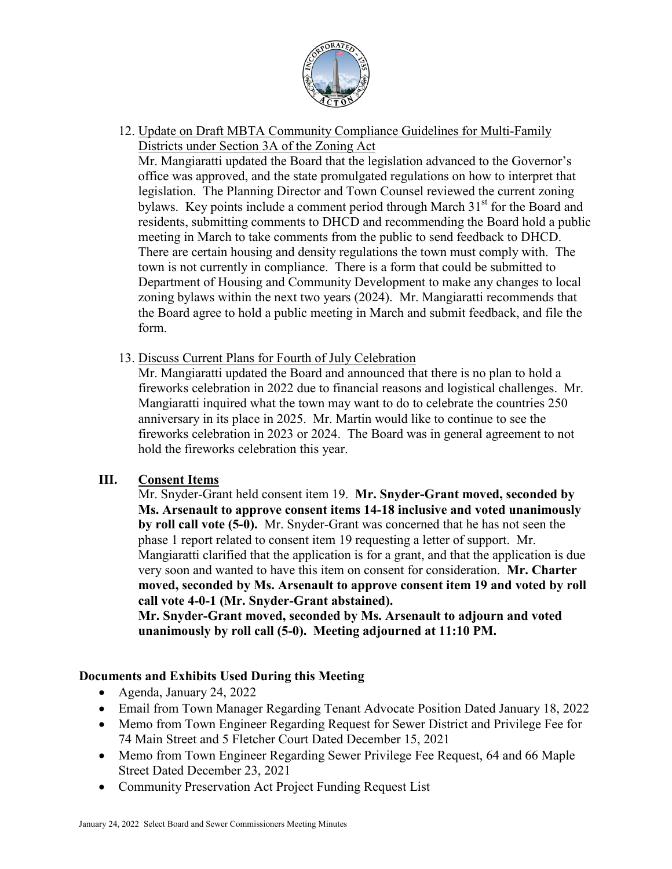

12. Update on Draft MBTA Community Compliance Guidelines for Multi-Family Districts under Section 3A of the Zoning Act

Mr. Mangiaratti updated the Board that the legislation advanced to the Governor's office was approved, and the state promulgated regulations on how to interpret that legislation. The Planning Director and Town Counsel reviewed the current zoning bylaws. Key points include a comment period through March  $31<sup>st</sup>$  for the Board and residents, submitting comments to DHCD and recommending the Board hold a public meeting in March to take comments from the public to send feedback to DHCD. There are certain housing and density regulations the town must comply with. The town is not currently in compliance. There is a form that could be submitted to Department of Housing and Community Development to make any changes to local zoning bylaws within the next two years (2024). Mr. Mangiaratti recommends that the Board agree to hold a public meeting in March and submit feedback, and file the form.

13. Discuss Current Plans for Fourth of July Celebration

Mr. Mangiaratti updated the Board and announced that there is no plan to hold a fireworks celebration in 2022 due to financial reasons and logistical challenges. Mr. Mangiaratti inquired what the town may want to do to celebrate the countries 250 anniversary in its place in 2025. Mr. Martin would like to continue to see the fireworks celebration in 2023 or 2024. The Board was in general agreement to not hold the fireworks celebration this year.

# **III. Consent Items**

Mr. Snyder-Grant held consent item 19. **Mr. Snyder-Grant moved, seconded by Ms. Arsenault to approve consent items 14-18 inclusive and voted unanimously by roll call vote (5-0).** Mr. Snyder-Grant was concerned that he has not seen the phase 1 report related to consent item 19 requesting a letter of support. Mr. Mangiaratti clarified that the application is for a grant, and that the application is due very soon and wanted to have this item on consent for consideration. **Mr. Charter moved, seconded by Ms. Arsenault to approve consent item 19 and voted by roll call vote 4-0-1 (Mr. Snyder-Grant abstained).**

**Mr. Snyder-Grant moved, seconded by Ms. Arsenault to adjourn and voted unanimously by roll call (5-0). Meeting adjourned at 11:10 PM.**

# **Documents and Exhibits Used During this Meeting**

- Agenda, January 24, 2022
- Email from Town Manager Regarding Tenant Advocate Position Dated January 18, 2022
- Memo from Town Engineer Regarding Request for Sewer District and Privilege Fee for 74 Main Street and 5 Fletcher Court Dated December 15, 2021
- Memo from Town Engineer Regarding Sewer Privilege Fee Request, 64 and 66 Maple Street Dated December 23, 2021
- Community Preservation Act Project Funding Request List